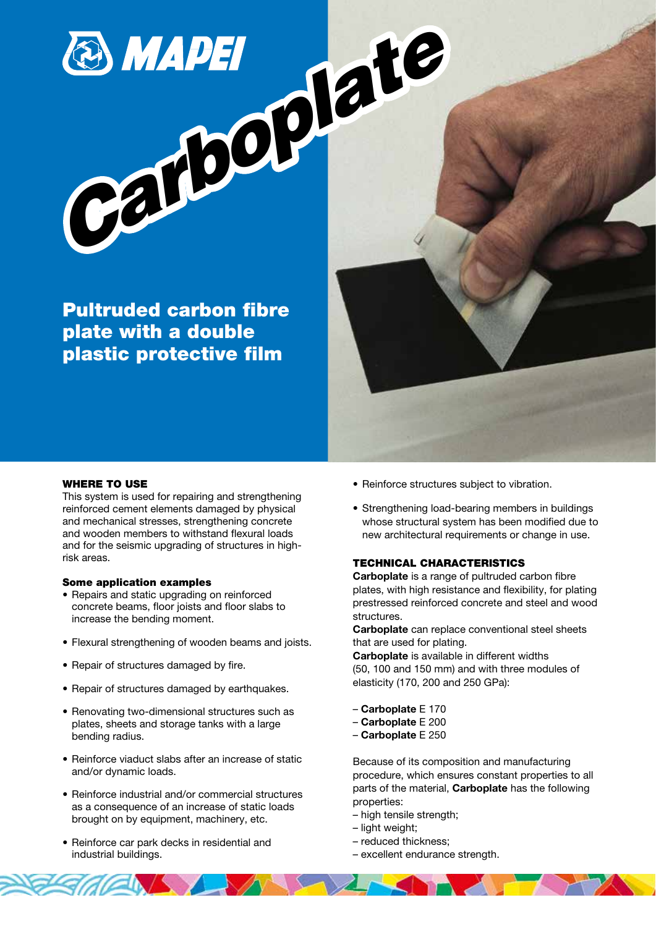*Carboplate* 

Pultruded carbon fibre plate with a double plastic protective film

## WHERE TO USE

This system is used for repairing and strengthening reinforced cement elements damaged by physical and mechanical stresses, strengthening concrete and wooden members to withstand flexural loads and for the seismic upgrading of structures in highrisk areas.

### Some application examples

- Repairs and static upgrading on reinforced concrete beams, floor joists and floor slabs to increase the bending moment.
- Flexural strengthening of wooden beams and joists.
- Repair of structures damaged by fire.
- Repair of structures damaged by earthquakes.
- Renovating two-dimensional structures such as plates, sheets and storage tanks with a large bending radius.
- Reinforce viaduct slabs after an increase of static and/or dynamic loads.
- Reinforce industrial and/or commercial structures as a consequence of an increase of static loads brought on by equipment, machinery, etc.

VS SZLJ

• Reinforce car park decks in residential and industrial buildings.

- Reinforce structures subject to vibration.
- Strengthening load-bearing members in buildings whose structural system has been modified due to new architectural requirements or change in use.

## TECHNICAL CHARACTERISTICS

Carboplate is a range of pultruded carbon fibre plates, with high resistance and flexibility, for plating prestressed reinforced concrete and steel and wood structures.

Carboplate can replace conventional steel sheets that are used for plating.

Carboplate is available in different widths (50, 100 and 150 mm) and with three modules of elasticity (170, 200 and 250 GPa):

- Carboplate E 170
- Carboplate E 200
- Carboplate E 250

Because of its composition and manufacturing procedure, which ensures constant properties to all parts of the material, Carboplate has the following properties:

- high tensile strength;
- light weight;
- reduced thickness;
- excellent endurance strength.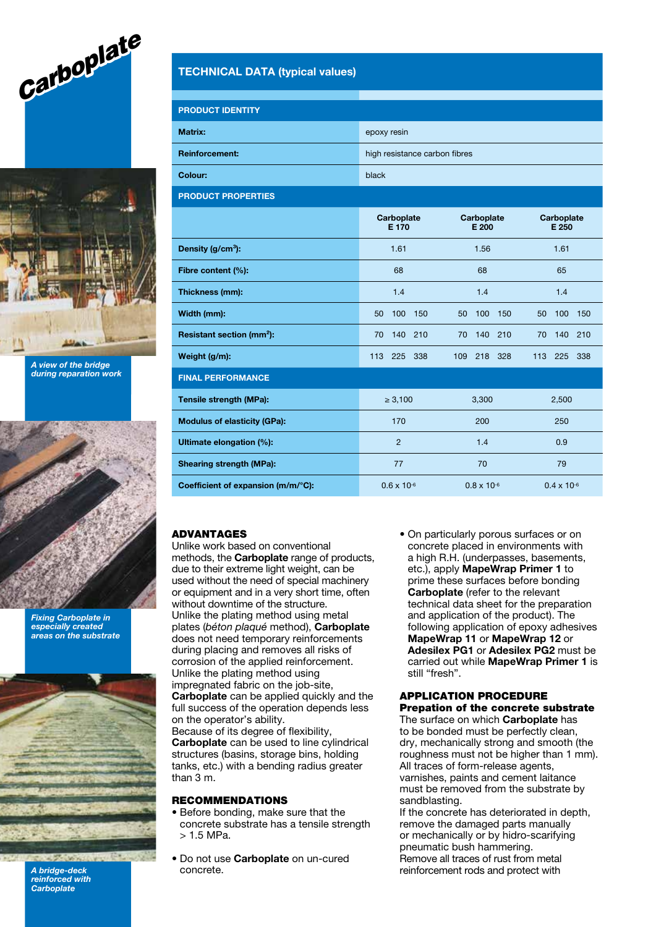



A view of the bridge during reparation work



Fixing Carboplate in especially created areas on the substrate



A bridge-deck reinforced with **Carboplate** 

# TECHNICAL DATA (typical values)

| <b>PRODUCT IDENTITY</b> |                               |
|-------------------------|-------------------------------|
| Matrix:                 | epoxy resin                   |
| <b>Reinforcement:</b>   | high resistance carbon fibres |
| Colour:                 | black                         |

PRODUCT PROPERTIES

|                                       | Carboplate<br>E 170  | Carboplate<br>E 200  | Carboplate<br>E 250  |
|---------------------------------------|----------------------|----------------------|----------------------|
| Density $(g/cm3)$ :                   | 1.61                 | 1.56                 | 1.61                 |
| Fibre content (%):                    | 68                   | 68                   | 65                   |
| Thickness (mm):                       | 1.4                  | 1.4                  | 1.4                  |
| Width (mm):                           | 100<br>50<br>150     | 100<br>150<br>50     | 100<br>50<br>150     |
| Resistant section (mm <sup>2</sup> ): | 140<br>210<br>70     | 140<br>210<br>70     | 140<br>210<br>70     |
| Weight (g/m):                         | 113 225 338          | 218<br>328<br>109    | 113<br>225<br>338    |
| <b>FINAL PERFORMANCE</b>              |                      |                      |                      |
| Tensile strength (MPa):               | $\geq 3,100$         | 3,300                | 2,500                |
| <b>Modulus of elasticity (GPa):</b>   | 170                  | 200                  | 250                  |
| Ultimate elongation (%):              | $\overline{2}$       | 1.4                  | 0.9                  |
| Shearing strength (MPa):              | 77                   | 70                   | 79                   |
| Coefficient of expansion (m/m/°C):    | $0.6 \times 10^{-6}$ | $0.8 \times 10^{-6}$ | $0.4 \times 10^{-6}$ |

## ADVANTAGES

Unlike work based on conventional methods, the Carboplate range of products, due to their extreme light weight, can be used without the need of special machinery or equipment and in a very short time, often without downtime of the structure. Unlike the plating method using metal plates (béton plaqué method), Carboplate does not need temporary reinforcements during placing and removes all risks of corrosion of the applied reinforcement. Unlike the plating method using impregnated fabric on the job-site, Carboplate can be applied quickly and the full success of the operation depends less on the operator's ability. Because of its degree of flexibility, Carboplate can be used to line cylindrical structures (basins, storage bins, holding tanks, etc.) with a bending radius greater than  $3 \text{ m}$ .

### RECOMMENDATIONS

- Before bonding, make sure that the concrete substrate has a tensile strength  $> 1.5$  MPa.
- Do not use Carboplate on un-cured concrete.

• On particularly porous surfaces or on concrete placed in environments with a high R.H. (underpasses, basements, etc.), apply MapeWrap Primer 1 to prime these surfaces before bonding Carboplate (refer to the relevant technical data sheet for the preparation and application of the product). The following application of epoxy adhesives MapeWrap 11 or MapeWrap 12 or Adesilex PG1 or Adesilex PG2 must be carried out while MapeWrap Primer 1 is still "fresh".

### APPLICATION PROCEDURE Prepation of the concrete substrate

The surface on which **Carboplate** has to be bonded must be perfectly clean, dry, mechanically strong and smooth (the roughness must not be higher than 1 mm). All traces of form-release agents, varnishes, paints and cement laitance must be removed from the substrate by sandblasting.

If the concrete has deteriorated in depth, remove the damaged parts manually or mechanically or by hidro-scarifying pneumatic bush hammering. Remove all traces of rust from metal reinforcement rods and protect with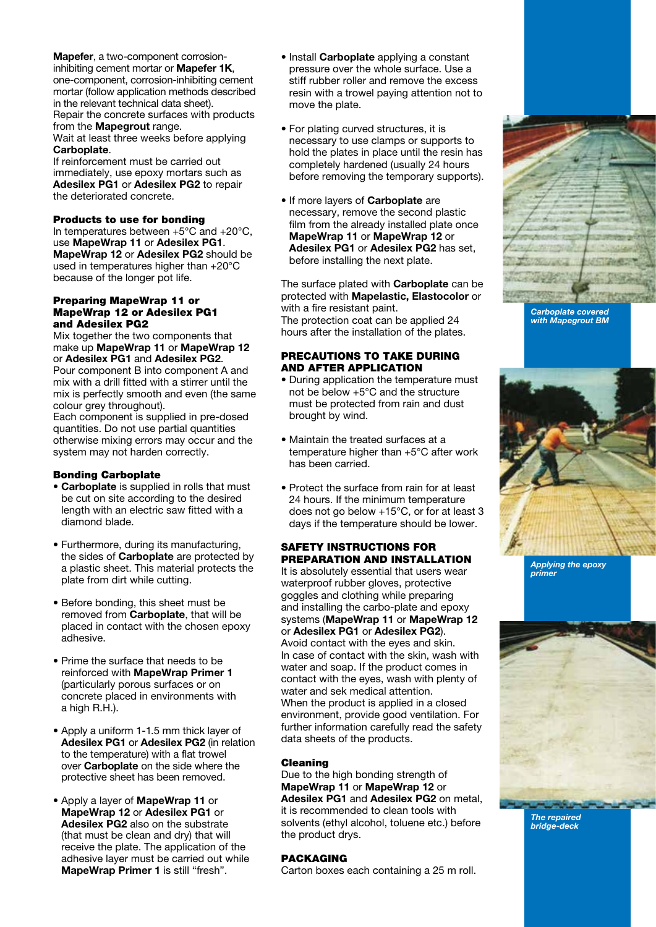Mapefer, a two-component corrosioninhibiting cement mortar or Mapefer 1K, one-component, corrosion-inhibiting cement mortar (follow application methods described in the relevant technical data sheet). Repair the concrete surfaces with products from the **Mapegrout** range.

Wait at least three weeks before applying Carboplate.

If reinforcement must be carried out immediately, use epoxy mortars such as Adesilex PG1 or Adesilex PG2 to repair the deteriorated concrete.

## Products to use for bonding

In temperatures between +5°C and +20°C, use MapeWrap 11 or Adesilex PG1. MapeWrap 12 or Adesilex PG2 should be used in temperatures higher than +20°C because of the longer pot life.

### Preparing MapeWrap 11 or MapeWrap 12 or Adesilex PG1 and Adesilex PG2

Mix together the two components that make up MapeWrap 11 or MapeWrap 12 or Adesilex PG1 and Adesilex PG2. Pour component B into component A and

mix with a drill fitted with a stirrer until the mix is perfectly smooth and even (the same colour grey throughout).

Each component is supplied in pre-dosed quantities. Do not use partial quantities otherwise mixing errors may occur and the system may not harden correctly.

## Bonding Carboplate

- Carboplate is supplied in rolls that must be cut on site according to the desired length with an electric saw fitted with a diamond blade.
- Furthermore, during its manufacturing, the sides of **Carboplate** are protected by a plastic sheet. This material protects the plate from dirt while cutting.
- Before bonding, this sheet must be removed from **Carboplate**, that will be placed in contact with the chosen epoxy adhesive.
- Prime the surface that needs to be reinforced with MapeWrap Primer 1 (particularly porous surfaces or on concrete placed in environments with a high R.H.).
- Apply a uniform 1-1.5 mm thick layer of Adesilex PG1 or Adesilex PG2 (in relation to the temperature) with a flat trowel over Carboplate on the side where the protective sheet has been removed.
- Apply a layer of MapeWrap 11 or MapeWrap 12 or Adesilex PG1 or Adesilex PG2 also on the substrate (that must be clean and dry) that will receive the plate. The application of the adhesive layer must be carried out while MapeWrap Primer 1 is still "fresh".
- Install **Carboplate** applying a constant pressure over the whole surface. Use a stiff rubber roller and remove the excess resin with a trowel paying attention not to move the plate.
- For plating curved structures, it is necessary to use clamps or supports to hold the plates in place until the resin has completely hardened (usually 24 hours before removing the temporary supports).
- If more lavers of Carboplate are necessary, remove the second plastic film from the already installed plate once MapeWrap 11 or MapeWrap 12 or Adesilex PG1 or Adesilex PG2 has set. before installing the next plate.

The surface plated with **Carboplate** can be protected with Mapelastic, Elastocolor or with a fire resistant paint. The protection coat can be applied 24 hours after the installation of the plates.

## PRECAUTIONS TO TAKE DURING AND AFTER APPLICATION

- During application the temperature must not be below +5°C and the structure must be protected from rain and dust brought by wind.
- Maintain the treated surfaces at a temperature higher than +5°C after work has been carried.
- Protect the surface from rain for at least 24 hours. If the minimum temperature does not go below +15°C, or for at least 3 days if the temperature should be lower.

## SAFETY INSTRUCTIONS FOR PREPARATION AND INSTALLATION

It is absolutely essential that users wear waterproof rubber gloves, protective goggles and clothing while preparing and installing the carbo-plate and epoxy systems (MapeWrap 11 or MapeWrap 12 or Adesilex PG1 or Adesilex PG2). Avoid contact with the eyes and skin. In case of contact with the skin, wash with

water and soap. If the product comes in contact with the eyes, wash with plenty of water and sek medical attention. When the product is applied in a closed environment, provide good ventilation. For further information carefully read the safety data sheets of the products.

## Cleaning

Due to the high bonding strength of MapeWrap 11 or MapeWrap 12 or Adesilex PG1 and Adesilex PG2 on metal, it is recommended to clean tools with solvents (ethyl alcohol, toluene etc.) before the product drys.

## PACKAGING

Carton boxes each containing a 25 m roll.



Carboplate covered with Mapegrout BM



primer



The repaired bridge-deck